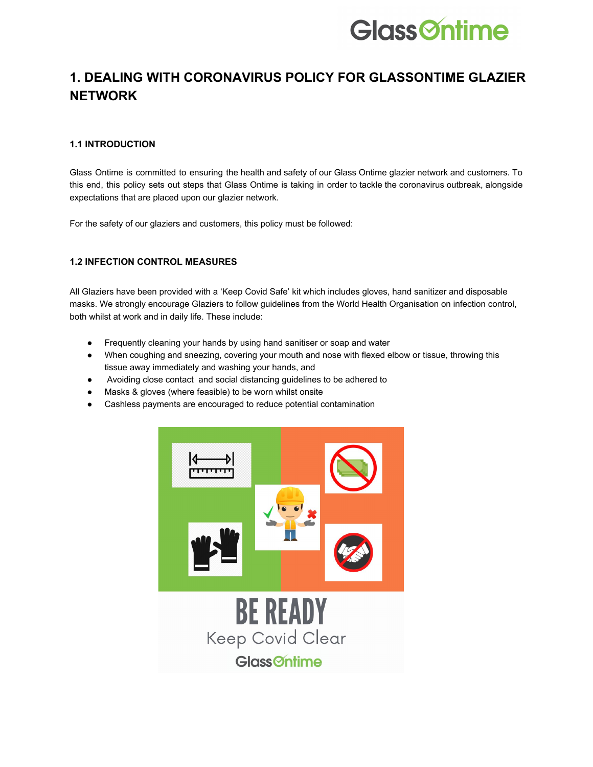

# **1. DEALING WITH CORONAVIRUS POLICY FOR GLASSONTIME GLAZIER NETWORK**

# **1.1 INTRODUCTION**

Glass Ontime is committed to ensuring the health and safety of our Glass Ontime glazier network and customers. To this end, this policy sets out steps that Glass Ontime is taking in order to tackle the coronavirus outbreak, alongside expectations that are placed upon our glazier network.

For the safety of our glaziers and customers, this policy must be followed:

# **1.2 INFECTION CONTROL MEASURES**

All Glaziers have been provided with a 'Keep Covid Safe' kit which includes gloves, hand sanitizer and disposable masks. We strongly encourage Glaziers to follow guidelines from the World Health Organisation on infection control, both whilst at work and in daily life. These include:

- Frequently cleaning your hands by using hand sanitiser or soap and water
- When coughing and sneezing, covering your mouth and nose with flexed elbow or tissue, throwing this tissue away immediately and washing your hands, and
- Avoiding close contact and social distancing guidelines to be adhered to
- Masks & gloves (where feasible) to be worn whilst onsite
- Cashless payments are encouraged to reduce potential contamination

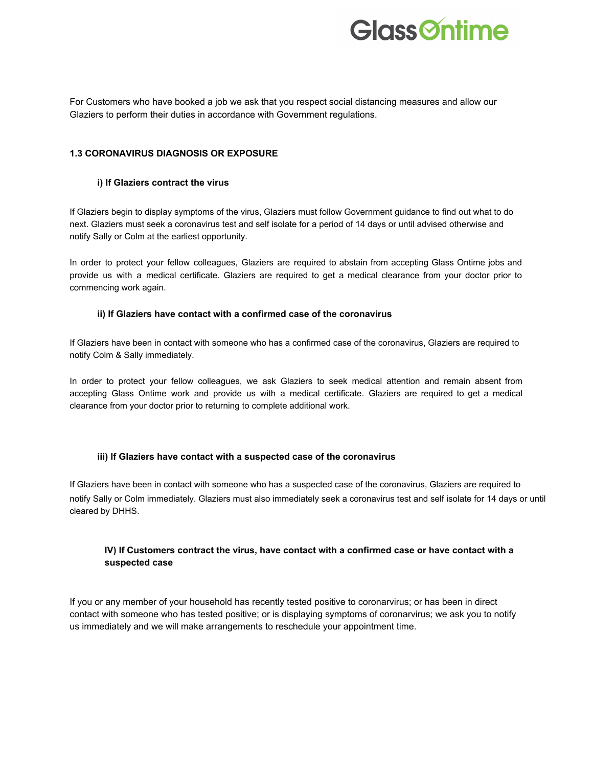

For Customers who have booked a job we ask that you respect social distancing measures and allow our Glaziers to perform their duties in accordance with Government regulations.

#### **1.3 CORONAVIRUS DIAGNOSIS OR EXPOSURE**

#### **i) If Glaziers contract the virus**

If Glaziers begin to display symptoms of the virus, Glaziers must follow Government guidance to find out what to do next. Glaziers must seek a coronavirus test and self isolate for a period of 14 days or until advised otherwise and notify Sally or Colm at the earliest opportunity.

In order to protect your fellow colleagues, Glaziers are required to abstain from accepting Glass Ontime jobs and provide us with a medical certificate. Glaziers are required to get a medical clearance from your doctor prior to commencing work again.

#### **ii) If Glaziers have contact with a confirmed case of the coronavirus**

If Glaziers have been in contact with someone who has a confirmed case of the coronavirus, Glaziers are required to notify Colm & Sally immediately.

In order to protect your fellow colleagues, we ask Glaziers to seek medical attention and remain absent from accepting Glass Ontime work and provide us with a medical certificate. Glaziers are required to get a medical clearance from your doctor prior to returning to complete additional work.

#### **iii) If Glaziers have contact with a suspected case of the coronavirus**

If Glaziers have been in contact with someone who has a suspected case of the coronavirus, Glaziers are required to notify Sally or Colm immediately. Glaziers must also immediately seek a coronavirus test and self isolate for 14 days or until cleared by DHHS.

# **IV) If Customers contract the virus, have contact with a confirmed case or have contact with a suspected case**

If you or any member of your household has recently tested positive to coronarvirus; or has been in direct contact with someone who has tested positive; or is displaying symptoms of coronarvirus; we ask you to notify us immediately and we will make arrangements to reschedule your appointment time.